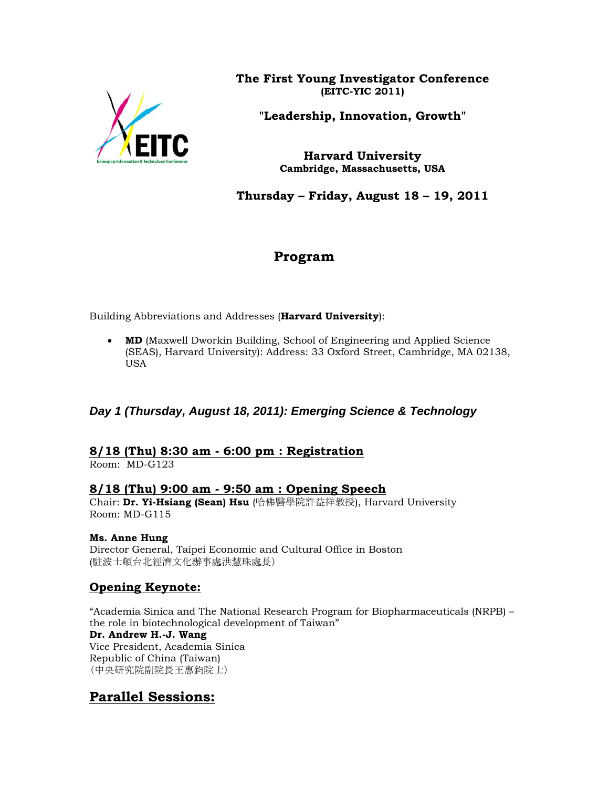

**The First Young Investigator Conference (EITC-YIC 2011)** 

**"Leadership, Innovation, Growth"** 

**Harvard University Cambridge, Massachusetts, USA** 

**Thursday – Friday, August 18 – 19, 2011** 

# **Program**

Building Abbreviations and Addresses (**Harvard University**):

• **MD** (Maxwell Dworkin Building, School of Engineering and Applied Science (SEAS), Harvard University): Address: 33 Oxford Street, Cambridge, MA 02138, USA

## *Day 1 (Thursday, August 18, 2011): Emerging Science & Technology*

## **8/18 (Thu) 8:30 am - 6:00 pm : Registration**

Room: MD-G123

## **8/18 (Thu) 9:00 am - 9:50 am : Opening Speech**

Chair: **Dr. Yi-Hsiang (Sean) Hsu** (哈佛醫學院許益祥教授), Harvard University Room: MD-G115

## **Ms. Anne Hung**

Director General, Taipei Economic and Cultural Office in Boston (駐波士頓台北經濟文化辦事處洪慧珠處長)

## **Opening Keynote:**

"Academia Sinica and The National Research Program for Biopharmaceuticals (NRPB) – the role in biotechnological development of Taiwan" **Dr. Andrew H.-J. Wang**  Vice President, Academia Sinica Republic of China (Taiwan) (中央研究院副院長王惠鈞院士)

# **Parallel Sessions:**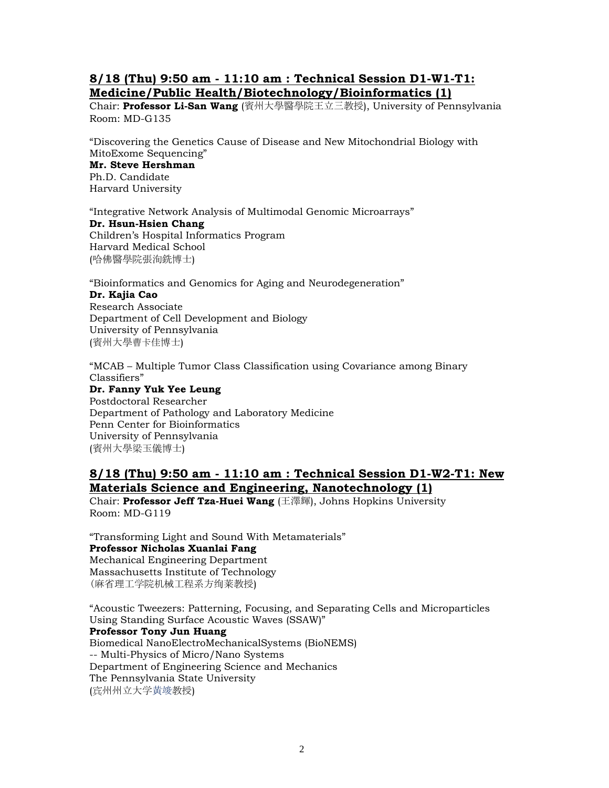## **8/18 (Thu) 9:50 am - 11:10 am : Technical Session D1-W1-T1: Medicine/Public Health/Biotechnology/Bioinformatics (1)**

Chair: **Professor Li-San Wang** (賓州大學醫學院王立三教授), University of Pennsylvania Room: MD-G135

"Discovering the Genetics Cause of Disease and New Mitochondrial Biology with MitoExome Sequencing" **Mr. Steve Hershman**  Ph.D. Candidate Harvard University

"Integrative Network Analysis of Multimodal Genomic Microarrays" **Dr. Hsun-Hsien Chang**  Children's Hospital Informatics Program Harvard Medical School (哈佛醫學院張洵銑博士)

"Bioinformatics and Genomics for Aging and Neurodegeneration" **Dr. Kajia Cao**  Research Associate Department of Cell Development and Biology University of Pennsylvania

(賓州大學曹卡佳博士)

"MCAB – Multiple Tumor Class Classification using Covariance among Binary Classifiers"

**Dr. Fanny Yuk Yee Leung**  Postdoctoral Researcher Department of Pathology and Laboratory Medicine Penn Center for Bioinformatics University of Pennsylvania (賓州大學梁玉儀博士)

## **8/18 (Thu) 9:50 am - 11:10 am : Technical Session D1-W2-T1: New Materials Science and Engineering, Nanotechnology (1)**

Chair: **Professor Jeff Tza-Huei Wang** (王澤輝), Johns Hopkins University Room: MD-G119

"Transforming Light and Sound With Metamaterials" **Professor Nicholas Xuanlai Fang**  Mechanical Engineering Department Massachusetts Institute of Technology (麻省理工学院机械工程系方绚莱教授)

"Acoustic Tweezers: Patterning, Focusing, and Separating Cells and Microparticles Using Standing Surface Acoustic Waves (SSAW)" **Professor Tony Jun Huang**  Biomedical NanoElectroMechanicalSystems (BioNEMS) -- Multi-Physics of Micro/Nano Systems Department of Engineering Science and Mechanics The Pennsylvania State University (宾州州立大学黄竣教授)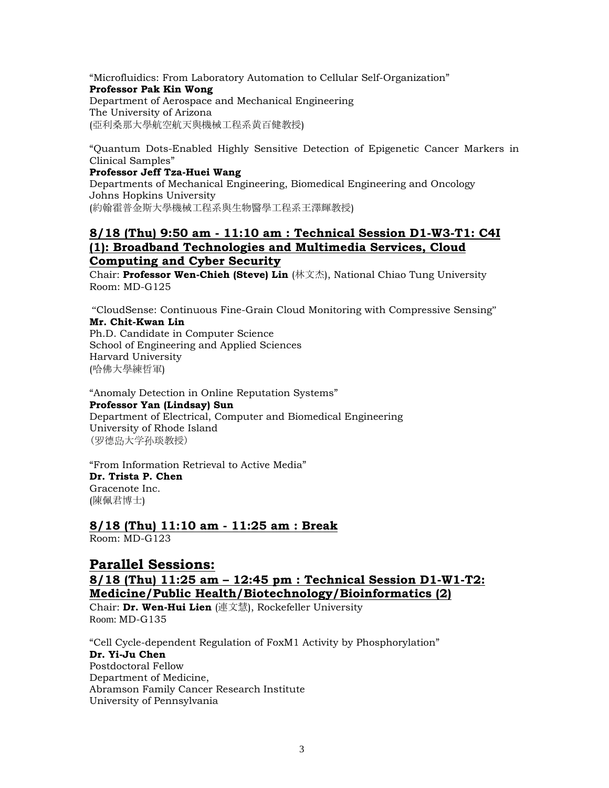"Microfluidics: From Laboratory Automation to Cellular Self-Organization" **Professor Pak Kin Wong**  Department of Aerospace and Mechanical Engineering The University of Arizona (亞利桑那大學航空航天與機械工程系黄百健教授)

"Quantum Dots-Enabled Highly Sensitive Detection of Epigenetic Cancer Markers in Clinical Samples"

#### **Professor Jeff Tza-Huei Wang**

Departments of Mechanical Engineering, Biomedical Engineering and Oncology Johns Hopkins University (約翰霍普金斯大學機械工程系與生物醫學工程系王澤輝教授)

## **8/18 (Thu) 9:50 am - 11:10 am : Technical Session D1-W3-T1: C4I (1): Broadband Technologies and Multimedia Services, Cloud Computing and Cyber Security**

Chair: **Professor Wen-Chieh (Steve) Lin** (林文杰), National Chiao Tung University Room: MD-G125

 "CloudSense: Continuous Fine-Grain Cloud Monitoring with Compressive Sensing" **Mr. Chit-Kwan Lin**  Ph.D. Candidate in Computer Science

School of Engineering and Applied Sciences Harvard University (哈佛大學練哲軍)

"Anomaly Detection in Online Reputation Systems" **Professor Yan (Lindsay) Sun**  Department of Electrical, Computer and Biomedical Engineering University of Rhode Island (罗德岛大学孙琰教授)

"From Information Retrieval to Active Media" **Dr. Trista P. Chen**  Gracenote Inc. (陳佩君博士)

# **8/18 (Thu) 11:10 am - 11:25 am : Break**

Room: MD-G123

## **Parallel Sessions:**

## **8/18 (Thu) 11:25 am – 12:45 pm : Technical Session D1-W1-T2: Medicine/Public Health/Biotechnology/Bioinformatics (2)**

Chair: **Dr. Wen-Hui Lien** (連文慧), Rockefeller University Room: MD-G135

"Cell Cycle-dependent Regulation of FoxM1 Activity by Phosphorylation" **Dr. Yi-Ju Chen**  Postdoctoral Fellow Department of Medicine, Abramson Family Cancer Research Institute University of Pennsylvania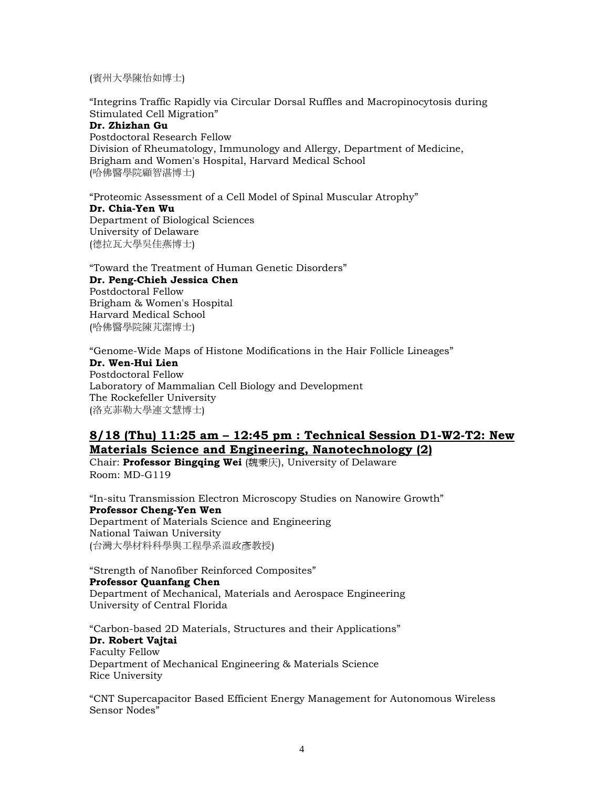(賓州大學陳怡如博士)

"Integrins Traffic Rapidly via Circular Dorsal Ruffles and Macropinocytosis during Stimulated Cell Migration"

## **Dr. Zhizhan Gu**

Postdoctoral Research Fellow Division of Rheumatology, Immunology and Allergy, Department of Medicine, Brigham and Women's Hospital, Harvard Medical School (哈佛醫學院顧智湛博士)

"Proteomic Assessment of a Cell Model of Spinal Muscular Atrophy" **Dr. Chia-Yen Wu**  Department of Biological Sciences University of Delaware (德拉瓦大學吳佳燕博士)

"Toward the Treatment of Human Genetic Disorders" **Dr. Peng-Chieh Jessica Chen**  Postdoctoral Fellow Brigham & Women's Hospital Harvard Medical School (哈佛醫學院陳芃潔博士)

"Genome-Wide Maps of Histone Modifications in the Hair Follicle Lineages" **Dr. Wen-Hui Lien** Postdoctoral Fellow Laboratory of Mammalian Cell Biology and Development The Rockefeller University (洛克菲勒大學連文慧博士)

## **8/18 (Thu) 11:25 am – 12:45 pm : Technical Session D1-W2-T2: New Materials Science and Engineering, Nanotechnology (2)**

Chair: **Professor Bingqing Wei** (魏秉庆), University of Delaware Room: MD-G119

"In-situ Transmission Electron Microscopy Studies on Nanowire Growth" **Professor Cheng-Yen Wen**  Department of Materials Science and Engineering National Taiwan University (台灣大學材料科學與工程學系溫政彥教授)

"Strength of Nanofiber Reinforced Composites" **Professor Quanfang Chen**  Department of Mechanical, Materials and Aerospace Engineering University of Central Florida

"Carbon-based 2D Materials, Structures and their Applications" **Dr. Robert Vajtai**  Faculty Fellow Department of Mechanical Engineering & Materials Science Rice University

"CNT Supercapacitor Based Efficient Energy Management for Autonomous Wireless Sensor Nodes"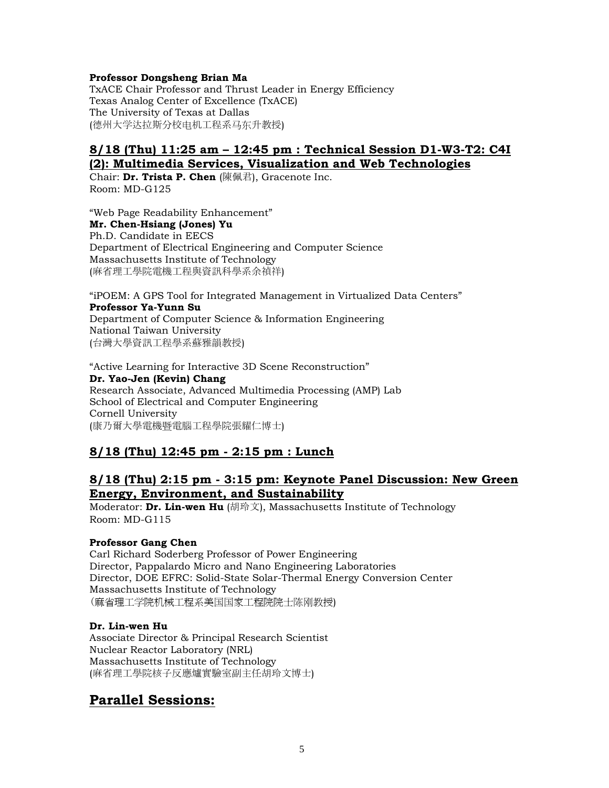#### **Professor Dongsheng Brian Ma**

TxACE Chair Professor and Thrust Leader in Energy Efficiency Texas Analog Center of Excellence (TxACE) The University of Texas at Dallas (德州大学达拉斯分校电机工程系马东升教授)

## **8/18 (Thu) 11:25 am – 12:45 pm : Technical Session D1-W3-T2: C4I (2): Multimedia Services, Visualization and Web Technologies**

Chair: **Dr. Trista P. Chen** (陳佩君), Gracenote Inc. Room: MD-G125

"Web Page Readability Enhancement" **Mr. Chen-Hsiang (Jones) Yu**  Ph.D. Candidate in EECS Department of Electrical Engineering and Computer Science Massachusetts Institute of Technology (麻省理工學院電機工程與資訊科學系余禎祥)

"iPOEM: A GPS Tool for Integrated Management in Virtualized Data Centers" **Professor Ya-Yunn Su**  Department of Computer Science & Information Engineering National Taiwan University (台灣大學資訊工程學系蘇雅韻教授)

"Active Learning for Interactive 3D Scene Reconstruction" **Dr. Yao-Jen (Kevin) Chang**  Research Associate, Advanced Multimedia Processing (AMP) Lab School of Electrical and Computer Engineering Cornell University (康乃爾大學電機暨電腦工程學院張耀仁博士)

## **8/18 (Thu) 12:45 pm - 2:15 pm : Lunch**

## **8/18 (Thu) 2:15 pm - 3:15 pm: Keynote Panel Discussion: New Green Energy, Environment, and Sustainability**

Moderator: **Dr. Lin-wen Hu** (胡玲文), Massachusetts Institute of Technology Room: MD-G115

### **Professor Gang Chen**

Carl Richard Soderberg Professor of Power Engineering Director, Pappalardo Micro and Nano Engineering Laboratories Director, DOE EFRC: Solid-State Solar-Thermal Energy Conversion Center Massachusetts Institute of Technology (麻省理工学院机械工程系美国国家工程院院士陈刚教授)

### **Dr. Lin-wen Hu**

Associate Director & Principal Research Scientist Nuclear Reactor Laboratory (NRL) Massachusetts Institute of Technology (麻省理工學院核子反應爐實驗室副主任胡玲文博士)

# **Parallel Sessions:**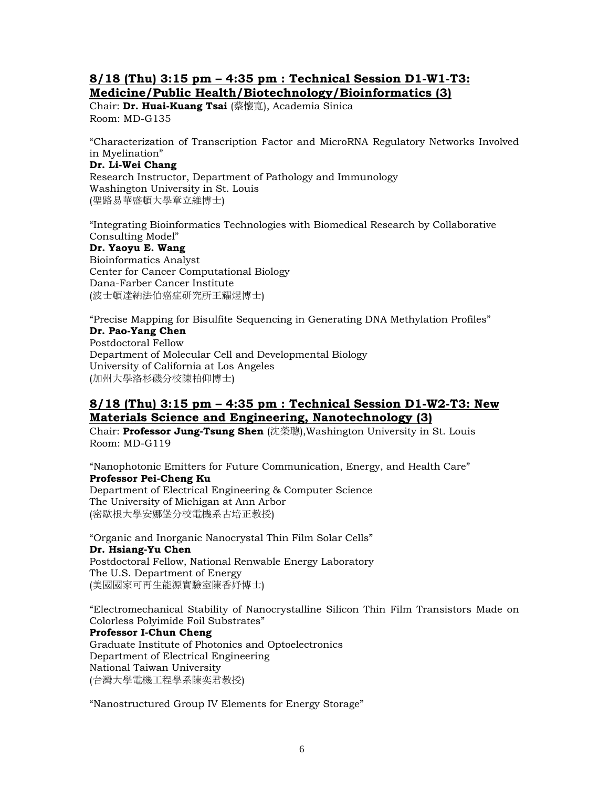## **8/18 (Thu) 3:15 pm – 4:35 pm : Technical Session D1-W1-T3: Medicine/Public Health/Biotechnology/Bioinformatics (3)**

Chair: **Dr. Huai-Kuang Tsai** (蔡懷寬), Academia Sinica Room: MD-G135

"Characterization of Transcription Factor and MicroRNA Regulatory Networks Involved in Myelination"

#### **Dr. Li-Wei Chang**

Research Instructor, Department of Pathology and Immunology Washington University in St. Louis (聖路易華盛頓大學章立維博士)

"Integrating Bioinformatics Technologies with Biomedical Research by Collaborative Consulting Model" **Dr. Yaoyu E. Wang** Bioinformatics Analyst Center for Cancer Computational Biology Dana-Farber Cancer Institute (波士頓達納法伯癌症研究所王耀煜博士)

"Precise Mapping for Bisulfite Sequencing in Generating DNA Methylation Profiles" **Dr. Pao-Yang Chen**

Postdoctoral Fellow Department of Molecular Cell and Developmental Biology University of California at Los Angeles (加州大學洛杉磯分校陳柏仰博士)

## **8/18 (Thu) 3:15 pm – 4:35 pm : Technical Session D1-W2-T3: New Materials Science and Engineering, Nanotechnology (3)**

Chair: **Professor Jung-Tsung Shen** (沈榮聰),Washington University in St. Louis Room: MD-G119

"Nanophotonic Emitters for Future Communication, Energy, and Health Care" **Professor Pei-Cheng Ku**  Department of Electrical Engineering & Computer Science The University of Michigan at Ann Arbor (密歇根大學安娜堡分校電機系古培正教授)

"Organic and Inorganic Nanocrystal Thin Film Solar Cells" **Dr. Hsiang-Yu Chen**  Postdoctoral Fellow, National Renwable Energy Laboratory The U.S. Department of Energy (美國國家可再生能源實驗室陳香妤博士)

"Electromechanical Stability of Nanocrystalline Silicon Thin Film Transistors Made on Colorless Polyimide Foil Substrates" **Professor I-Chun Cheng**  Graduate Institute of Photonics and Optoelectronics Department of Electrical Engineering National Taiwan University (台灣大學電機工程學系陳奕君教授)

"Nanostructured Group IV Elements for Energy Storage"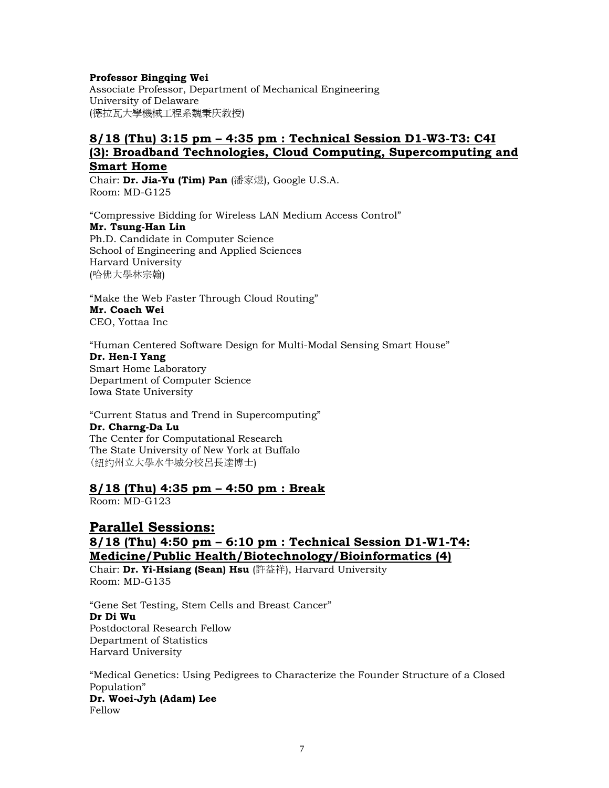#### **Professor Bingqing Wei**

Associate Professor, Department of Mechanical Engineering University of Delaware (德拉瓦大學機械工程系魏秉庆教授)

## **8/18 (Thu) 3:15 pm – 4:35 pm : Technical Session D1-W3-T3: C4I (3): Broadband Technologies, Cloud Computing, Supercomputing and Smart Home**

Chair: **Dr. Jia-Yu (Tim) Pan** (潘家煜), Google U.S.A. Room: MD-G125

"Compressive Bidding for Wireless LAN Medium Access Control" **Mr. Tsung-Han Lin**  Ph.D. Candidate in Computer Science School of Engineering and Applied Sciences Harvard University (哈佛大學林宗翰)

"Make the Web Faster Through Cloud Routing" **Mr. Coach Wei** CEO, Yottaa Inc

"Human Centered Software Design for Multi-Modal Sensing Smart House" **Dr. Hen-I Yang**  Smart Home Laboratory Department of Computer Science Iowa State University

"Current Status and Trend in Supercomputing" **Dr. Charng-Da Lu**  The Center for Computational Research The State University of New York at Buffalo (纽约州立大學水牛城分校呂長達博士)

### **8/18 (Thu) 4:35 pm – 4:50 pm : Break**

Room: MD-G123

## **Parallel Sessions: 8/18 (Thu) 4:50 pm – 6:10 pm : Technical Session D1-W1-T4: Medicine/Public Health/Biotechnology/Bioinformatics (4)**

Chair: **Dr. Yi-Hsiang (Sean) Hsu** (許益祥), Harvard University Room: MD-G135

"Gene Set Testing, Stem Cells and Breast Cancer" **Dr Di Wu**  Postdoctoral Research Fellow Department of Statistics Harvard University

"Medical Genetics: Using Pedigrees to Characterize the Founder Structure of a Closed Population" **Dr. Woei-Jyh (Adam) Lee**  Fellow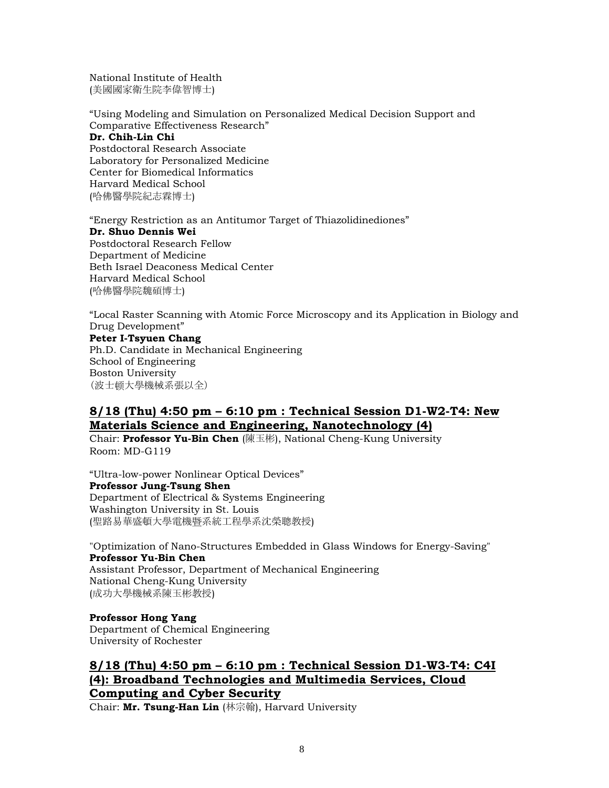National Institute of Health (美國國家衛生院李偉智博士)

"Using Modeling and Simulation on Personalized Medical Decision Support and Comparative Effectiveness Research" **Dr. Chih-Lin Chi** Postdoctoral Research Associate

Laboratory for Personalized Medicine Center for Biomedical Informatics Harvard Medical School (哈佛醫學院紀志霖博士)

"Energy Restriction as an Antitumor Target of Thiazolidinediones" **Dr. Shuo Dennis Wei** Postdoctoral Research Fellow Department of Medicine Beth Israel Deaconess Medical Center Harvard Medical School (哈佛醫學院魏碩博士)

"Local Raster Scanning with Atomic Force Microscopy and its Application in Biology and Drug Development"

**Peter I-Tsyuen Chang**  Ph.D. Candidate in Mechanical Engineering School of Engineering Boston University (波士顿大學機械系張以全)

## **8/18 (Thu) 4:50 pm – 6:10 pm : Technical Session D1-W2-T4: New Materials Science and Engineering, Nanotechnology (4)**

Chair: **Professor Yu-Bin Chen** (陳玉彬), National Cheng-Kung University Room: MD-G119

"Ultra-low-power Nonlinear Optical Devices" **Professor Jung-Tsung Shen**  Department of Electrical & Systems Engineering Washington University in St. Louis (聖路易華盛頓大學電機暨系統工程學系沈榮聰教授)

"Optimization of Nano-Structures Embedded in Glass Windows for Energy-Saving" **Professor Yu-Bin Chen**  Assistant Professor, Department of Mechanical Engineering National Cheng-Kung University (成功大學機械系陳玉彬教授)

**Professor Hong Yang** Department of Chemical Engineering University of Rochester

# **8/18 (Thu) 4:50 pm – 6:10 pm : Technical Session D1-W3-T4: C4I (4): Broadband Technologies and Multimedia Services, Cloud Computing and Cyber Security**

Chair: **Mr. Tsung-Han Lin** (林宗翰), Harvard University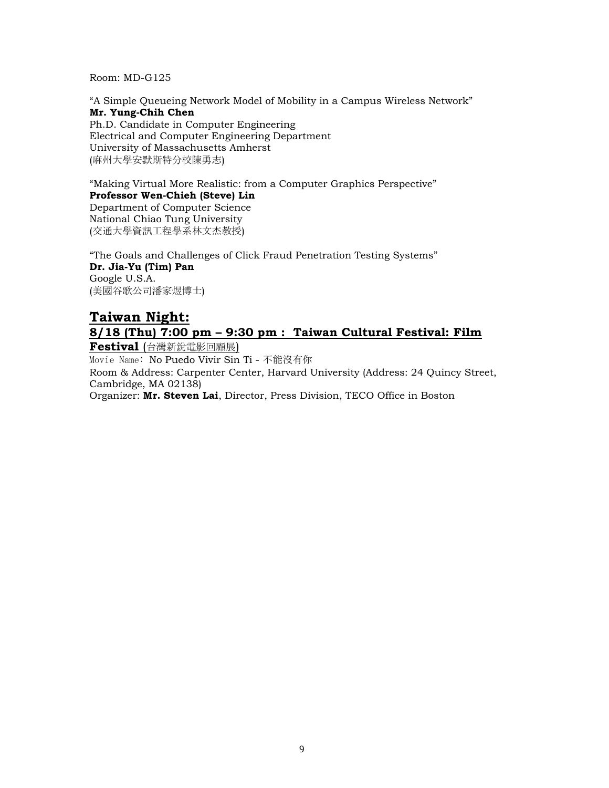Room: MD-G125

"A Simple Queueing Network Model of Mobility in a Campus Wireless Network" **Mr. Yung-Chih Chen**  Ph.D. Candidate in Computer Engineering Electrical and Computer Engineering Department University of Massachusetts Amherst (麻州大學安默斯特分校陳勇志)

"Making Virtual More Realistic: from a Computer Graphics Perspective" **Professor Wen-Chieh (Steve) Lin**  Department of Computer Science

National Chiao Tung University (交通大學資訊工程學系林文杰教授)

"The Goals and Challenges of Click Fraud Penetration Testing Systems" **Dr. Jia-Yu (Tim) Pan**  Google U.S.A. (美國谷歌公司潘家煜博士)

# **Taiwan Night: 8/18 (Thu) 7:00 pm – 9:30 pm : Taiwan Cultural Festival: Film**

**Festival** (台灣新銳電影回顧展)

Movie Name: No Puedo Vivir Sin Ti - 不能沒有你

Room & Address: Carpenter Center, Harvard University (Address: 24 Quincy Street, Cambridge, MA 02138)

Organizer: **Mr. Steven Lai**, Director, Press Division, TECO Office in Boston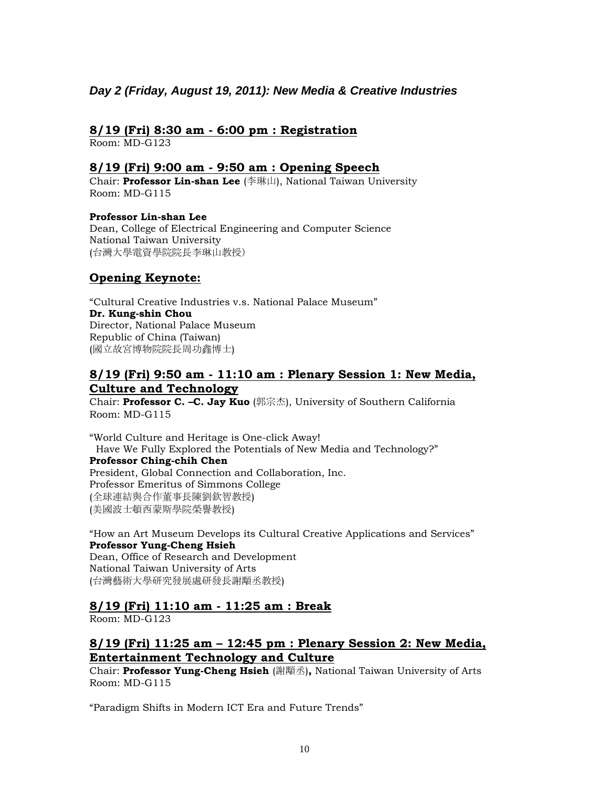## *Day 2 (Friday, August 19, 2011): New Media & Creative Industries*

## **8/19 (Fri) 8:30 am - 6:00 pm : Registration**

Room: MD-G123

### **8/19 (Fri) 9:00 am - 9:50 am : Opening Speech**

Chair: **Professor Lin-shan Lee** (李琳山), National Taiwan University Room: MD-G115

**Professor Lin-shan Lee**  Dean, College of Electrical Engineering and Computer Science National Taiwan University (台灣大學電資學院院長李琳山教授)

### **Opening Keynote:**

"Cultural Creative Industries v.s. National Palace Museum" **Dr. Kung-shin Chou**  Director, National Palace Museum Republic of China (Taiwan) (國立故宮博物院院長周功鑫博士)

## **8/19 (Fri) 9:50 am - 11:10 am : Plenary Session 1: New Media, Culture and Technology**

Chair: **Professor C. –C. Jay Kuo** (郭宗杰), University of Southern California Room: MD-G115

"World Culture and Heritage is One-click Away! Have We Fully Explored the Potentials of New Media and Technology?" **Professor Ching-chih Chen** President, Global Connection and Collaboration, Inc. Professor Emeritus of Simmons College (全球連結與合作董事長陳劉欽智教授) (美國波士頓西蒙斯學院榮譽教授)

"How an Art Museum Develops its Cultural Creative Applications and Services" **Professor Yung-Cheng Hsieh**  Dean, Office of Research and Development National Taiwan University of Arts (台灣藝術大學研究發展處研發長謝顒丞教授)

## **8/19 (Fri) 11:10 am - 11:25 am : Break**

Room: MD-G123

## **8/19 (Fri) 11:25 am – 12:45 pm : Plenary Session 2: New Media, Entertainment Technology and Culture**

Chair: **Professor Yung-Cheng Hsieh** (謝顒丞)**,** National Taiwan University of Arts Room: MD-G115

"Paradigm Shifts in Modern ICT Era and Future Trends"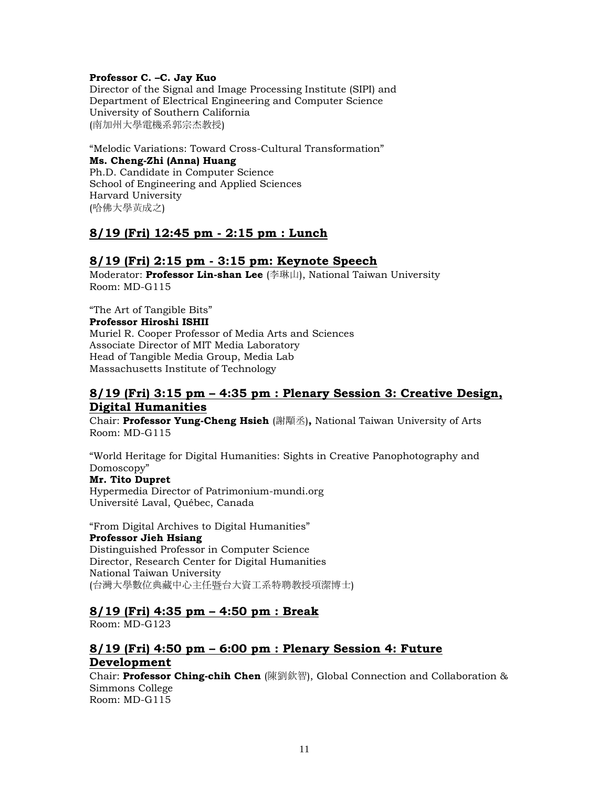#### **Professor C. –C. Jay Kuo**

Director of the Signal and Image Processing Institute (SIPI) and Department of Electrical Engineering and Computer Science University of Southern California (南加州大學電機系郭宗杰教授)

"Melodic Variations: Toward Cross-Cultural Transformation" **Ms. Cheng-Zhi (Anna) Huang**  Ph.D. Candidate in Computer Science School of Engineering and Applied Sciences Harvard University (哈佛大學黃成之)

## **8/19 (Fri) 12:45 pm - 2:15 pm : Lunch**

## **8/19 (Fri) 2:15 pm - 3:15 pm: Keynote Speech**

Moderator: **Professor Lin-shan Lee** (李琳山), National Taiwan University Room: MD-G115

"The Art of Tangible Bits"

#### **Professor Hiroshi ISHII**

Muriel R. Cooper Professor of Media Arts and Sciences Associate Director of MIT Media Laboratory Head of Tangible Media Group, Media Lab Massachusetts Institute of Technology

### **8/19 (Fri) 3:15 pm – 4:35 pm : Plenary Session 3: Creative Design, Digital Humanities**

Chair: **Professor Yung-Cheng Hsieh** (謝顒丞)**,** National Taiwan University of Arts Room: MD-G115

"World Heritage for Digital Humanities: Sights in Creative Panophotography and Domoscopy"

#### **Mr. Tito Dupret**

Hypermedia Director of Patrimonium-mundi.org Université Laval, Québec, Canada

"From Digital Archives to Digital Humanities" **Professor Jieh Hsiang**  Distinguished Professor in Computer Science Director, Research Center for Digital Humanities National Taiwan University (台灣大學數位典藏中心主任暨台大資工系特聘教授項潔博士)

## **8/19 (Fri) 4:35 pm – 4:50 pm : Break**

Room: MD-G123

## **8/19 (Fri) 4:50 pm – 6:00 pm : Plenary Session 4: Future Development**

Chair: **Professor Ching-chih Chen** (陳劉欽智), Global Connection and Collaboration & Simmons College Room: MD-G115